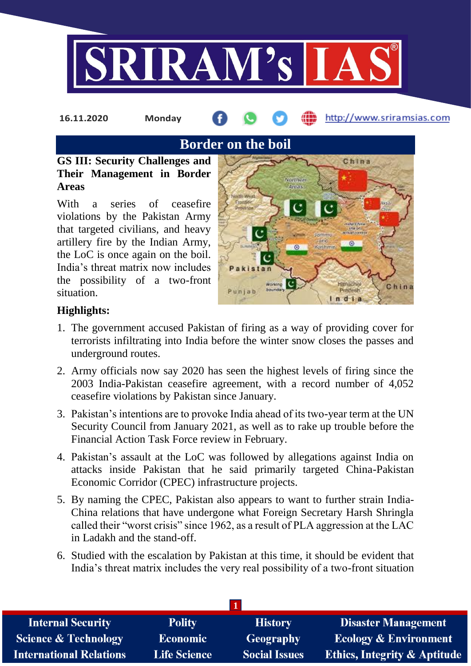

**16.11.2020 Monday**

http://www.sriramsias.com

**Border on the boil**

**GS III: Security Challenges and Their Management in Border Areas**

With a series of ceasefire violations by the Pakistan Army that targeted civilians, and heavy artillery fire by the Indian Army, the LoC is once again on the boil. India's threat matrix now includes the possibility of a two-front situation.



# **Highlights:**

- 1. The government accused Pakistan of firing as a way of providing cover for terrorists infiltrating into India before the winter snow closes the passes and underground routes.
- 2. Army officials now say 2020 has seen the highest levels of firing since the 2003 India-Pakistan ceasefire agreement, with a record number of 4,052 ceasefire violations by Pakistan since January.
- 3. Pakistan's intentions are to provoke India ahead of its two-year term at the UN Security Council from January 2021, as well as to rake up trouble before the Financial Action Task Force review in February.
- 4. Pakistan's assault at the LoC was followed by allegations against India on attacks inside Pakistan that he said primarily targeted China-Pakistan Economic Corridor (CPEC) infrastructure projects.
- 5. By naming the CPEC, Pakistan also appears to want to further strain India-China relations that have undergone what Foreign Secretary Harsh Shringla called their "worst crisis" since 1962, as a result of PLA aggression at the LAC in Ladakh and the stand-off.
- 6. Studied with the escalation by Pakistan at this time, it should be evident that India's threat matrix includes the very real possibility of a two-front situation

| <b>Internal Security</b>        | <b>Polity</b>       | <b>History</b>       | <b>Disaster Management</b>              |
|---------------------------------|---------------------|----------------------|-----------------------------------------|
| <b>Science &amp; Technology</b> | <b>Economic</b>     | <b>Geography</b>     | <b>Ecology &amp; Environment</b>        |
| <b>International Relations</b>  | <b>Life Science</b> | <b>Social Issues</b> | <b>Ethics, Integrity &amp; Aptitude</b> |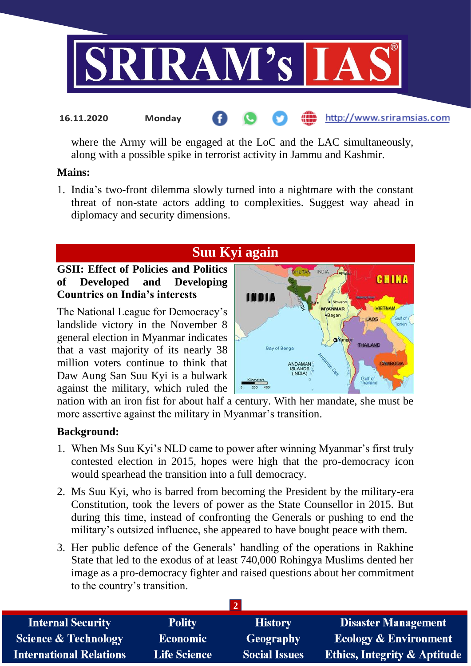

where the Army will be engaged at the LoC and the LAC simultaneously, along with a possible spike in terrorist activity in Jammu and Kashmir.

#### **Mains:**

1. India's two-front dilemma slowly turned into a nightmare with the constant threat of non-state actors adding to complexities. Suggest way ahead in diplomacy and security dimensions.

# **Suu Kyi again**

#### **GSII: Effect of Policies and Politics of Developed and Developing Countries on India's interests**

**16.11.2020 Monday**

The National League for Democracy's landslide victory in the November 8 general election in Myanmar indicates that a vast majority of its nearly 38 million voters continue to think that Daw Aung San Suu Kyi is a bulwark against the military, which ruled the



nation with an iron fist for about half a century. With her mandate, she must be more assertive against the military in Myanmar's transition.

#### **Background:**

- 1. When Ms Suu Kyi's NLD came to power after winning Myanmar's first truly contested election in 2015, hopes were high that the pro-democracy icon would spearhead the transition into a full democracy.
- 2. Ms Suu Kyi, who is barred from becoming the President by the military-era Constitution, took the levers of power as the State Counsellor in 2015. But during this time, instead of confronting the Generals or pushing to end the military's outsized influence, she appeared to have bought peace with them.
- 3. Her public defence of the Generals' handling of the operations in Rakhine State that led to the exodus of at least 740,000 Rohingya Muslims dented her image as a pro-democracy fighter and raised questions about her commitment to the country's transition.

| <b>Polity</b>       | <b>History</b>       | <b>Disaster Management</b>              |  |
|---------------------|----------------------|-----------------------------------------|--|
| <b>Economic</b>     | Geography            | <b>Ecology &amp; Environment</b>        |  |
| <b>Life Science</b> | <b>Social Issues</b> | <b>Ethics, Integrity &amp; Aptitude</b> |  |
|                     |                      |                                         |  |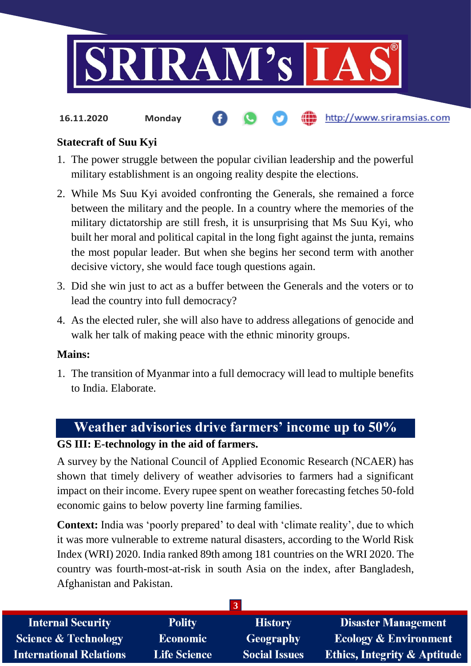

http://www.sriramsias.com **16.11.2020 Monday**

## **Statecraft of Suu Kyi**

- 1. The power struggle between the popular civilian leadership and the powerful military establishment is an ongoing reality despite the elections.
- 2. While Ms Suu Kyi avoided confronting the Generals, she remained a force between the military and the people. In a country where the memories of the military dictatorship are still fresh, it is unsurprising that Ms Suu Kyi, who built her moral and political capital in the long fight against the junta, remains the most popular leader. But when she begins her second term with another decisive victory, she would face tough questions again.
- 3. Did she win just to act as a buffer between the Generals and the voters or to lead the country into full democracy?
- 4. As the elected ruler, she will also have to address allegations of genocide and walk her talk of making peace with the ethnic minority groups.

#### **Mains:**

1. The transition of Myanmar into a full democracy will lead to multiple benefits to India. Elaborate.

# **Weather advisories drive farmers' income up to 50%**

#### **GS III: E-technology in the aid of farmers.**

A survey by the National Council of Applied Economic Research (NCAER) has shown that timely delivery of weather advisories to farmers had a significant impact on their income. Every rupee spent on weather forecasting fetches 50-fold economic gains to below poverty line farming families.

**Context:** India was 'poorly prepared' to deal with 'climate reality', due to which it was more vulnerable to extreme natural disasters, according to the World Risk Index (WRI) 2020. India ranked 89th among 181 countries on the WRI 2020. The country was fourth-most-at-risk in south Asia on the index, after Bangladesh, Afghanistan and Pakistan.

| <b>Internal Security</b>        | <b>Polity</b>       | <b>History</b>       | <b>Disaster Management</b>              |  |
|---------------------------------|---------------------|----------------------|-----------------------------------------|--|
| <b>Science &amp; Technology</b> | <b>Economic</b>     | Geography            | <b>Ecology &amp; Environment</b>        |  |
| <b>International Relations</b>  | <b>Life Science</b> | <b>Social Issues</b> | <b>Ethics, Integrity &amp; Aptitude</b> |  |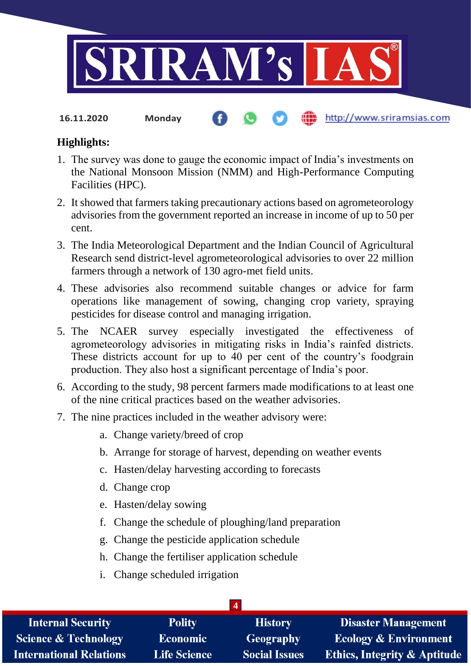

**16.11.2020 Monday**

#### http://www.sriramsias.com

# **Highlights:**

- 1. The survey was done to gauge the economic impact of India's investments on the National Monsoon Mission (NMM) and High-Performance Computing Facilities (HPC).
- 2. It showed that farmers taking precautionary actions based on agrometeorology advisories from the government reported an increase in income of up to 50 per cent.
- 3. The India Meteorological Department and the Indian Council of Agricultural Research send district-level agrometeorological advisories to over 22 million farmers through a network of 130 agro-met field units.
- 4. These advisories also recommend suitable changes or advice for farm operations like management of sowing, changing crop variety, spraying pesticides for disease control and managing irrigation.
- 5. The NCAER survey especially investigated the effectiveness of agrometeorology advisories in mitigating risks in India's rainfed districts. These districts account for up to 40 per cent of the country's foodgrain production. They also host a significant percentage of India's poor.
- 6. According to the study, 98 percent farmers made modifications to at least one of the nine critical practices based on the weather advisories.
- 7. The nine practices included in the weather advisory were:
	- a. Change variety/breed of crop
	- b. Arrange for storage of harvest, depending on weather events
	- c. Hasten/delay harvesting according to forecasts
	- d. Change crop
	- e. Hasten/delay sowing
	- f. Change the schedule of ploughing/land preparation
	- g. Change the pesticide application schedule
	- h. Change the fertiliser application schedule
	- i. Change scheduled irrigation

| <b>Internal Security</b>        | <b>Polity</b>       | <b>History</b>       | <b>Disaster Management</b>              |
|---------------------------------|---------------------|----------------------|-----------------------------------------|
| <b>Science &amp; Technology</b> | <b>Economic</b>     | Geography            | <b>Ecology &amp; Environment</b>        |
| International Relations         | <b>Life Science</b> | <b>Social Issues</b> | <b>Ethics, Integrity &amp; Aptitude</b> |